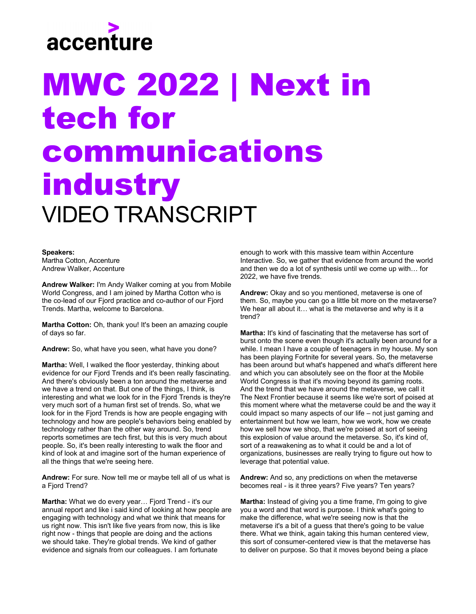

## MWC 2022 | Next in tech for communications industry VIDEO TRANSCRIPT

## **Speakers:**

Martha Cotton, Accenture Andrew Walker, Accenture

**Andrew Walker:** I'm Andy Walker coming at you from Mobile World Congress, and I am joined by Martha Cotton who is the co-lead of our Fjord practice and co-author of our Fjord Trends. Martha, welcome to Barcelona.

**Martha Cotton:** Oh, thank you! It's been an amazing couple of days so far.

**Andrew:** So, what have you seen, what have you done?

**Martha:** Well, I walked the floor yesterday, thinking about evidence for our Fjord Trends and it's been really fascinating. And there's obviously been a ton around the metaverse and we have a trend on that. But one of the things, I think, is interesting and what we look for in the Fjord Trends is they're very much sort of a human first set of trends. So, what we look for in the Fjord Trends is how are people engaging with technology and how are people's behaviors being enabled by technology rather than the other way around. So, trend reports sometimes are tech first, but this is very much about people. So, it's been really interesting to walk the floor and kind of look at and imagine sort of the human experience of all the things that we're seeing here.

**Andrew:** For sure. Now tell me or maybe tell all of us what is a Fjord Trend?

**Martha:** What we do every year… Fjord Trend - it's our annual report and like i said kind of looking at how people are engaging with technology and what we think that means for us right now. This isn't like five years from now, this is like right now - things that people are doing and the actions we should take. They're global trends. We kind of gather evidence and signals from our colleagues. I am fortunate

enough to work with this massive team within Accenture Interactive. So, we gather that evidence from around the world and then we do a lot of synthesis until we come up with… for 2022, we have five trends.

**Andrew:** Okay and so you mentioned, metaverse is one of them. So, maybe you can go a little bit more on the metaverse? We hear all about it… what is the metaverse and why is it a trend?

**Martha:** It's kind of fascinating that the metaverse has sort of burst onto the scene even though it's actually been around for a while. I mean I have a couple of teenagers in my house. My son has been playing Fortnite for several years. So, the metaverse has been around but what's happened and what's different here and which you can absolutely see on the floor at the Mobile World Congress is that it's moving beyond its gaming roots. And the trend that we have around the metaverse, we call it The Next Frontier because it seems like we're sort of poised at this moment where what the metaverse could be and the way it could impact so many aspects of our life – not just gaming and entertainment but how we learn, how we work, how we create how we sell how we shop, that we're poised at sort of seeing this explosion of value around the metaverse. So, it's kind of, sort of a reawakening as to what it could be and a lot of organizations, businesses are really trying to figure out how to leverage that potential value.

**Andrew:** And so, any predictions on when the metaverse becomes real - is it three years? Five years? Ten years?

**Martha:** Instead of giving you a time frame, I'm going to give you a word and that word is purpose. I think what's going to make the difference, what we're seeing now is that the metaverse it's a bit of a guess that there's going to be value there. What we think, again taking this human centered view, this sort of consumer-centered view is that the metaverse has to deliver on purpose. So that it moves beyond being a place